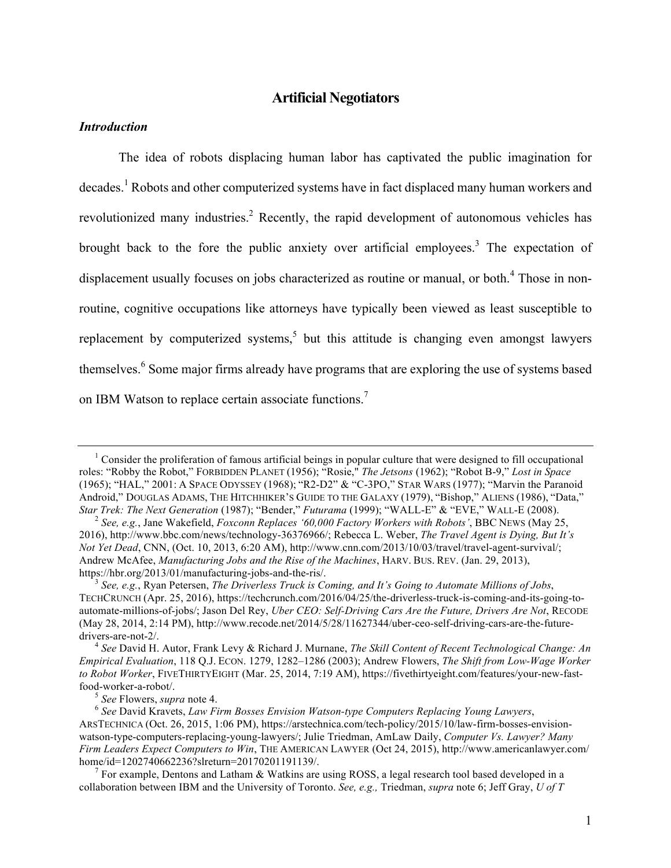#### *Introduction*

The idea of robots displacing human labor has captivated the public imagination for  $\alpha$  decades.<sup>1</sup> Robots and other computerized systems have in fact displaced many human workers and revolutionized many industries.<sup>2</sup> Recently, the rapid development of autonomous vehicles has brought back to the fore the public anxiety over artificial employees.<sup>3</sup> The expectation of displacement usually focuses on jobs characterized as routine or manual, or both.<sup>4</sup> Those in nonroutine, cognitive occupations like attorneys have typically been viewed as least susceptible to replacement by computerized systems, $5$  but this attitude is changing even amongst lawyers themselves. <sup>6</sup> Some major firms already have programs that are exploring the use of systems based on IBM Watson to replace certain associate functions.<sup>7</sup>

<sup>&</sup>lt;sup>1</sup> Consider the proliferation of famous artificial beings in popular culture that were designed to fill occupational roles: "Robby the Robot," FORBIDDEN PLANET (1956); "Rosie," *The Jetsons* (1962); "Robot B-9," *Lost in Space* (1965); "HAL," 2001: A SPACE ODYSSEY (1968); "R2-D2" & "C-3PO," STAR WARS (1977); "Marvin the Paranoid Android," DOUGLAS ADAMS, THE HITCHHIKER'S GUIDE TO THE GALAXY (1979), "Bishop," ALIENS (1986), "Data," Star Trek: The Next Generation (1987); "Bender," Futurama (1999); "WALL-E" & "EVE," WALL-E (2008).<br><sup>2</sup> See, e.g., Jane Wakefield, Foxconn Replaces '60,000 Factory Workers with Robots', BBC NEWS (May 25,

<sup>2016),</sup> http://www.bbc.com/news/technology-36376966/; Rebecca L. Weber, *The Travel Agent is Dying, But It's Not Yet Dead*, CNN, (Oct. 10, 2013, 6:20 AM), http://www.cnn.com/2013/10/03/travel/travel-agent-survival/; Andrew McAfee, *Manufacturing Jobs and the Rise of the Machines*, HARV. BUS. REV. (Jan. 29, 2013),

<sup>&</sup>lt;sup>3</sup> See, e.g., Ryan Petersen, *The Driverless Truck is Coming, and It's Going to Automate Millions of Jobs,* TECHCRUNCH (Apr. 25, 2016), https://techcrunch.com/2016/04/25/the-driverless-truck-is-coming-and-its-going-toautomate-millions-of-jobs/; Jason Del Rey, *Uber CEO: Self-Driving Cars Are the Future, Drivers Are Not*, RECODE (May 28, 2014, 2:14 PM), http://www.recode.net/2014/5/28/11627344/uber-ceo-self-driving-cars-are-the-futuredrivers-are-not-2/. <sup>4</sup> *See* David H. Autor, Frank Levy & Richard J. Murnane, *The Skill Content of Recent Technological Change: An* 

*Empirical Evaluation*, 118 Q.J. ECON. 1279, 1282–1286 (2003); Andrew Flowers, *The Shift from Low-Wage Worker to Robot Worker*, FIVETHIRTYEIGHT (Mar. 25, 2014, 7:19 AM), https://fivethirtyeight.com/features/your-new-fastfood-worker-a-robot/. <sup>5</sup> *See* Flowers, *supra* note 4. <sup>6</sup> *See* David Kravets, *Law Firm Bosses Envision Watson-type Computers Replacing Young Lawyers*,

ARSTECHNICA (Oct. 26, 2015, 1:06 PM), https://arstechnica.com/tech-policy/2015/10/law-firm-bosses-envisionwatson-type-computers-replacing-young-lawyers/; Julie Triedman, AmLaw Daily, *Computer Vs. Lawyer? Many Firm Leaders Expect Computers to Win*, THE AMERICAN LAWYER (Oct 24, 2015), http://www.americanlawyer.com/ home/id=1202740662236?slreturn=20170201191139/.<br><sup>7</sup> For example, Dentons and Latham & Watkins are using ROSS, a legal research tool based developed in a

collaboration between IBM and the University of Toronto. *See, e.g.,* Triedman, *supra* note 6; Jeff Gray, *U of T*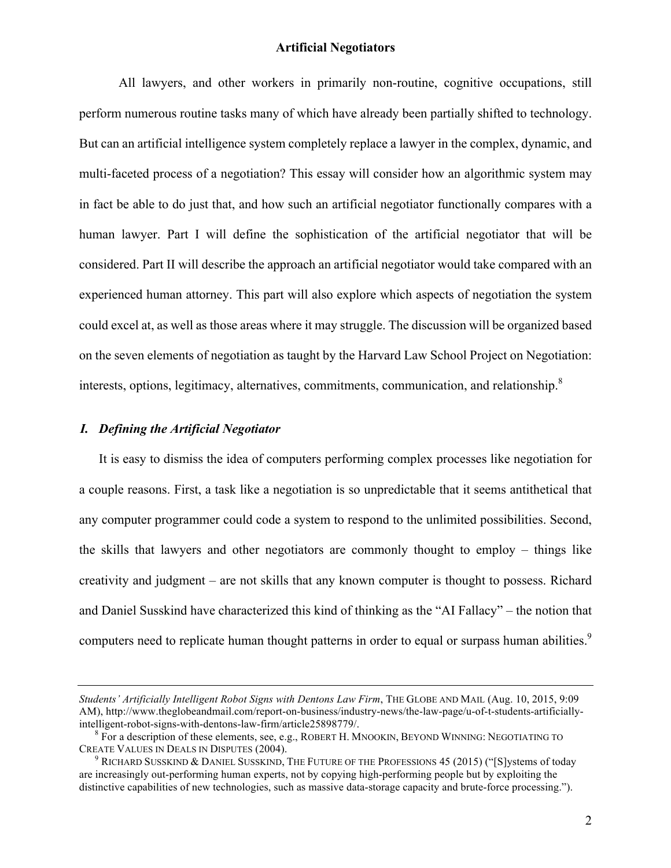All lawyers, and other workers in primarily non-routine, cognitive occupations, still perform numerous routine tasks many of which have already been partially shifted to technology. But can an artificial intelligence system completely replace a lawyer in the complex, dynamic, and multi-faceted process of a negotiation? This essay will consider how an algorithmic system may in fact be able to do just that, and how such an artificial negotiator functionally compares with a human lawyer. Part I will define the sophistication of the artificial negotiator that will be considered. Part II will describe the approach an artificial negotiator would take compared with an experienced human attorney. This part will also explore which aspects of negotiation the system could excel at, as well as those areas where it may struggle. The discussion will be organized based on the seven elements of negotiation as taught by the Harvard Law School Project on Negotiation: interests, options, legitimacy, alternatives, commitments, communication, and relationship.<sup>8</sup>

# *I. Defining the Artificial Negotiator*

It is easy to dismiss the idea of computers performing complex processes like negotiation for a couple reasons. First, a task like a negotiation is so unpredictable that it seems antithetical that any computer programmer could code a system to respond to the unlimited possibilities. Second, the skills that lawyers and other negotiators are commonly thought to employ – things like creativity and judgment – are not skills that any known computer is thought to possess. Richard and Daniel Susskind have characterized this kind of thinking as the "AI Fallacy" – the notion that computers need to replicate human thought patterns in order to equal or surpass human abilities.<sup>9</sup>

*Students' Artificially Intelligent Robot Signs with Dentons Law Firm*, THE GLOBE AND MAIL (Aug. 10, 2015, 9:09 AM), http://www.theglobeandmail.com/report-on-business/industry-news/the-law-page/u-of-t-students-artificially-

intelligent-robot-signs-with-dentons-law-firm/article25898779/.<br><sup>8</sup> For a description of these elements, see, e.g., ROBERT H. MNOOKIN, BEYOND WINNING: NEGOTIATING TO CREATE VALUES IN DEALS IN DISPUTES (2004).

RICHARD SUSSKIND & DANIEL SUSSKIND, THE FUTURE OF THE PROFESSIONS 45 (2015) ("[S]ystems of today are increasingly out-performing human experts, not by copying high-performing people but by exploiting the distinctive capabilities of new technologies, such as massive data-storage capacity and brute-force processing.").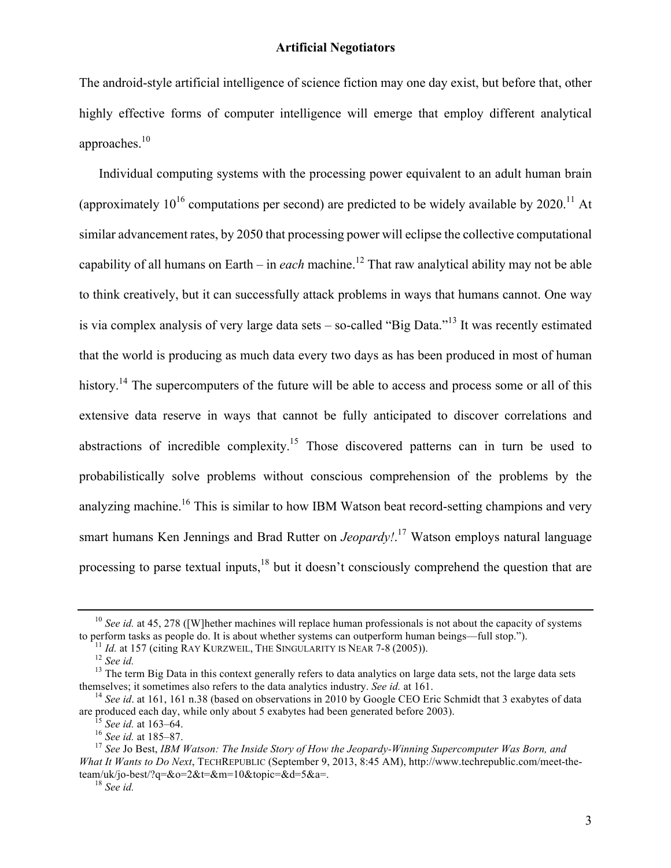The android-style artificial intelligence of science fiction may one day exist, but before that, other highly effective forms of computer intelligence will emerge that employ different analytical approaches.<sup>10</sup>

Individual computing systems with the processing power equivalent to an adult human brain (approximately  $10^{16}$  computations per second) are predicted to be widely available by 2020.<sup>11</sup> At similar advancement rates, by 2050 that processing power will eclipse the collective computational capability of all humans on Earth – in *each* machine.<sup>12</sup> That raw analytical ability may not be able to think creatively, but it can successfully attack problems in ways that humans cannot. One way is via complex analysis of very large data sets – so-called "Big Data."<sup>13</sup> It was recently estimated that the world is producing as much data every two days as has been produced in most of human history.<sup>14</sup> The supercomputers of the future will be able to access and process some or all of this extensive data reserve in ways that cannot be fully anticipated to discover correlations and abstractions of incredible complexity.<sup>15</sup> Those discovered patterns can in turn be used to probabilistically solve problems without conscious comprehension of the problems by the analyzing machine.<sup>16</sup> This is similar to how IBM Watson beat record-setting champions and very smart humans Ken Jennings and Brad Rutter on *Jeopardy!*. <sup>17</sup> Watson employs natural language processing to parse textual inputs, $18$  but it doesn't consciously comprehend the question that are

<sup>&</sup>lt;sup>10</sup> *See id.* at 45, 278 ([W]hether machines will replace human professionals is not about the capacity of systems to perform tasks as people do. It is about whether systems can outperform human beings—full stop.").

<sup>&</sup>lt;sup>11</sup> *Id.* at 157 (citing RAY KURZWEIL, THE SINGULARITY IS NEAR 7-8 (2005)).<br><sup>12</sup> *See id.*<br><sup>13</sup> The term Big Data in this context generally refers to data analytics on large data sets, not the large data sets themselves; it sometimes also refers to the data analytics industry. *See id.* at 161.<br><sup>14</sup> *See id.* at 161, 161 n.38 (based on observations in 2010 by Google CEO Eric Schmidt that 3 exabytes of data

are produced each day, while only about 5 exabytes had been generated before 2003).<br><sup>15</sup> See id. at 163–64.<br><sup>16</sup> See id. at 185–87.<br><sup>17</sup> See Jo Best. IBM Watson: The Inside Story of How the Jeopardy-Winning Supercomputer W

*What It Wants to Do Next*, TECHREPUBLIC (September 9, 2013, 8:45 AM), http://www.techrepublic.com/meet-theteam/uk/jo-best/?q=&o=2&t=&m=10&topic=&d=5&a=. <sup>18</sup> *See id.*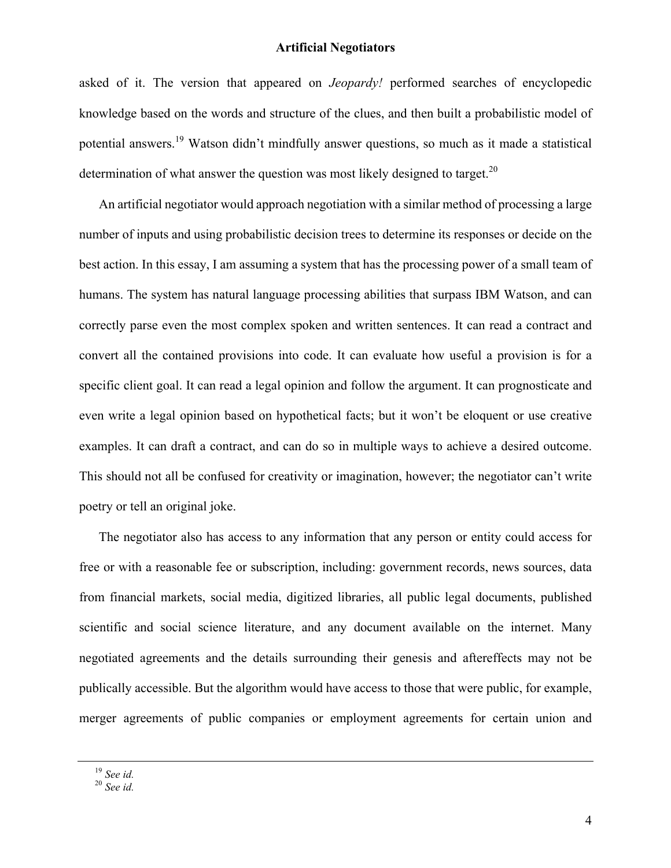asked of it. The version that appeared on *Jeopardy!* performed searches of encyclopedic knowledge based on the words and structure of the clues, and then built a probabilistic model of potential answers.<sup>19</sup> Watson didn't mindfully answer questions, so much as it made a statistical determination of what answer the question was most likely designed to target.<sup>20</sup>

An artificial negotiator would approach negotiation with a similar method of processing a large number of inputs and using probabilistic decision trees to determine its responses or decide on the best action. In this essay, I am assuming a system that has the processing power of a small team of humans. The system has natural language processing abilities that surpass IBM Watson, and can correctly parse even the most complex spoken and written sentences. It can read a contract and convert all the contained provisions into code. It can evaluate how useful a provision is for a specific client goal. It can read a legal opinion and follow the argument. It can prognosticate and even write a legal opinion based on hypothetical facts; but it won't be eloquent or use creative examples. It can draft a contract, and can do so in multiple ways to achieve a desired outcome. This should not all be confused for creativity or imagination, however; the negotiator can't write poetry or tell an original joke.

The negotiator also has access to any information that any person or entity could access for free or with a reasonable fee or subscription, including: government records, news sources, data from financial markets, social media, digitized libraries, all public legal documents, published scientific and social science literature, and any document available on the internet. Many negotiated agreements and the details surrounding their genesis and aftereffects may not be publically accessible. But the algorithm would have access to those that were public, for example, merger agreements of public companies or employment agreements for certain union and

<sup>19</sup> *See id.* <sup>20</sup> *See id.*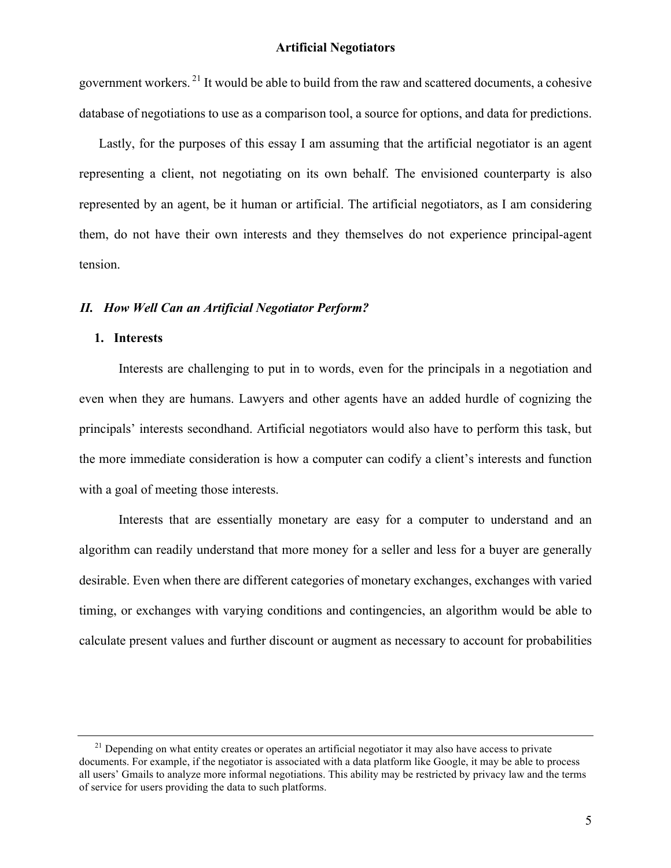government workers.<sup>21</sup> It would be able to build from the raw and scattered documents, a cohesive database of negotiations to use as a comparison tool, a source for options, and data for predictions.

Lastly, for the purposes of this essay I am assuming that the artificial negotiator is an agent representing a client, not negotiating on its own behalf. The envisioned counterparty is also represented by an agent, be it human or artificial. The artificial negotiators, as I am considering them, do not have their own interests and they themselves do not experience principal-agent tension.

### *II. How Well Can an Artificial Negotiator Perform?*

# **1. Interests**

Interests are challenging to put in to words, even for the principals in a negotiation and even when they are humans. Lawyers and other agents have an added hurdle of cognizing the principals' interests secondhand. Artificial negotiators would also have to perform this task, but the more immediate consideration is how a computer can codify a client's interests and function with a goal of meeting those interests.

Interests that are essentially monetary are easy for a computer to understand and an algorithm can readily understand that more money for a seller and less for a buyer are generally desirable. Even when there are different categories of monetary exchanges, exchanges with varied timing, or exchanges with varying conditions and contingencies, an algorithm would be able to calculate present values and further discount or augment as necessary to account for probabilities

 $^{21}$  Depending on what entity creates or operates an artificial negotiator it may also have access to private documents. For example, if the negotiator is associated with a data platform like Google, it may be able to process all users' Gmails to analyze more informal negotiations. This ability may be restricted by privacy law and the terms of service for users providing the data to such platforms.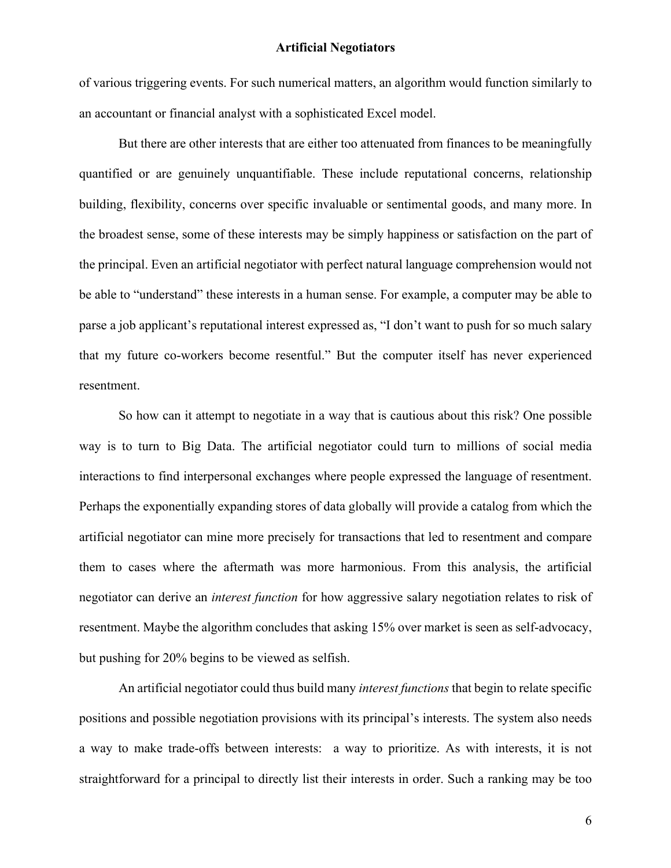of various triggering events. For such numerical matters, an algorithm would function similarly to an accountant or financial analyst with a sophisticated Excel model.

But there are other interests that are either too attenuated from finances to be meaningfully quantified or are genuinely unquantifiable. These include reputational concerns, relationship building, flexibility, concerns over specific invaluable or sentimental goods, and many more. In the broadest sense, some of these interests may be simply happiness or satisfaction on the part of the principal. Even an artificial negotiator with perfect natural language comprehension would not be able to "understand" these interests in a human sense. For example, a computer may be able to parse a job applicant's reputational interest expressed as, "I don't want to push for so much salary that my future co-workers become resentful." But the computer itself has never experienced resentment.

So how can it attempt to negotiate in a way that is cautious about this risk? One possible way is to turn to Big Data. The artificial negotiator could turn to millions of social media interactions to find interpersonal exchanges where people expressed the language of resentment. Perhaps the exponentially expanding stores of data globally will provide a catalog from which the artificial negotiator can mine more precisely for transactions that led to resentment and compare them to cases where the aftermath was more harmonious. From this analysis, the artificial negotiator can derive an *interest function* for how aggressive salary negotiation relates to risk of resentment. Maybe the algorithm concludes that asking 15% over market is seen as self-advocacy, but pushing for 20% begins to be viewed as selfish.

An artificial negotiator could thus build many *interest functions* that begin to relate specific positions and possible negotiation provisions with its principal's interests. The system also needs a way to make trade-offs between interests: a way to prioritize. As with interests, it is not straightforward for a principal to directly list their interests in order. Such a ranking may be too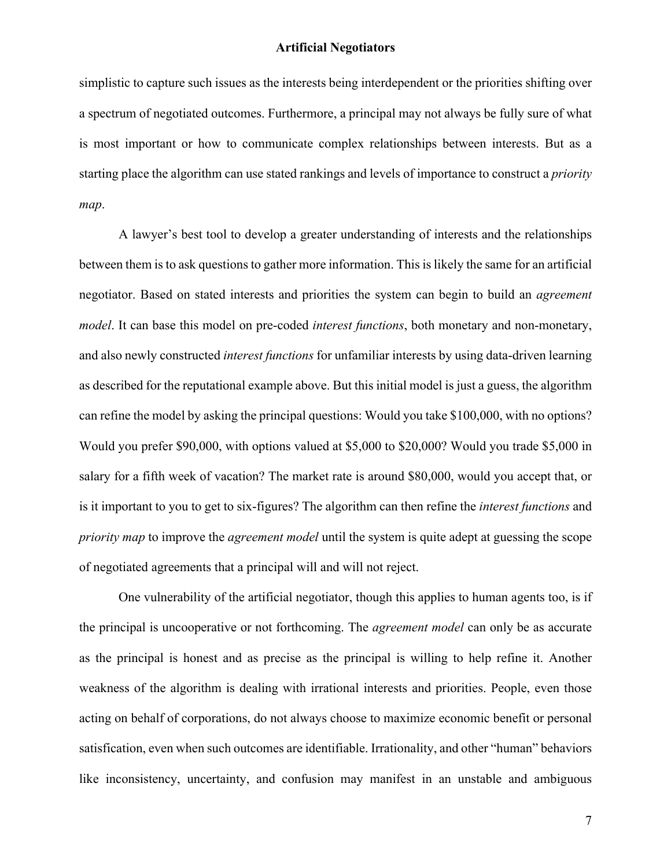simplistic to capture such issues as the interests being interdependent or the priorities shifting over a spectrum of negotiated outcomes. Furthermore, a principal may not always be fully sure of what is most important or how to communicate complex relationships between interests. But as a starting place the algorithm can use stated rankings and levels of importance to construct a *priority map*.

A lawyer's best tool to develop a greater understanding of interests and the relationships between them is to ask questions to gather more information. This is likely the same for an artificial negotiator. Based on stated interests and priorities the system can begin to build an *agreement model*. It can base this model on pre-coded *interest functions*, both monetary and non-monetary, and also newly constructed *interest functions* for unfamiliar interests by using data-driven learning as described for the reputational example above. But this initial model is just a guess, the algorithm can refine the model by asking the principal questions: Would you take \$100,000, with no options? Would you prefer \$90,000, with options valued at \$5,000 to \$20,000? Would you trade \$5,000 in salary for a fifth week of vacation? The market rate is around \$80,000, would you accept that, or is it important to you to get to six-figures? The algorithm can then refine the *interest functions* and *priority map* to improve the *agreement model* until the system is quite adept at guessing the scope of negotiated agreements that a principal will and will not reject.

One vulnerability of the artificial negotiator, though this applies to human agents too, is if the principal is uncooperative or not forthcoming. The *agreement model* can only be as accurate as the principal is honest and as precise as the principal is willing to help refine it. Another weakness of the algorithm is dealing with irrational interests and priorities. People, even those acting on behalf of corporations, do not always choose to maximize economic benefit or personal satisfication, even when such outcomes are identifiable. Irrationality, and other "human" behaviors like inconsistency, uncertainty, and confusion may manifest in an unstable and ambiguous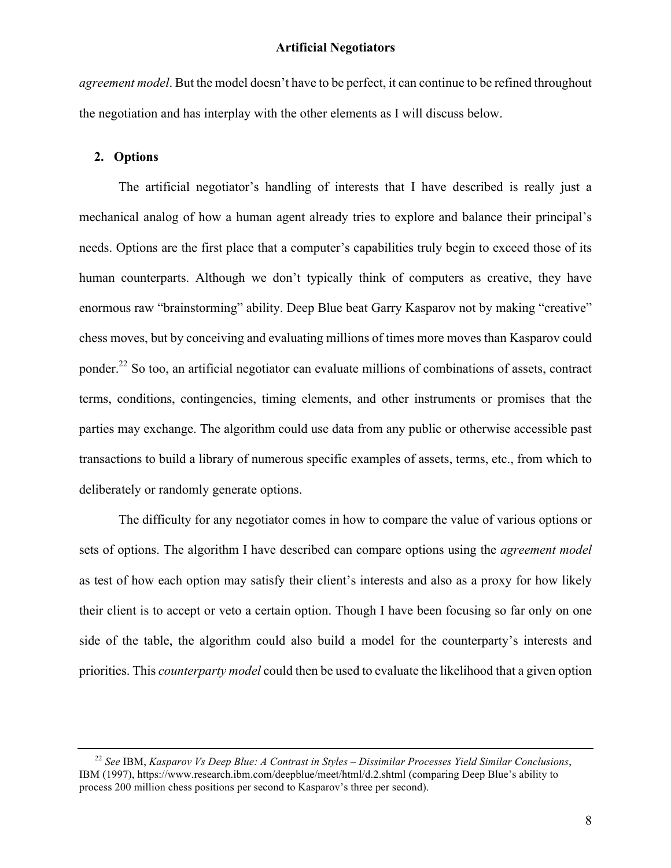*agreement model*. But the model doesn't have to be perfect, it can continue to be refined throughout the negotiation and has interplay with the other elements as I will discuss below.

# **2. Options**

The artificial negotiator's handling of interests that I have described is really just a mechanical analog of how a human agent already tries to explore and balance their principal's needs. Options are the first place that a computer's capabilities truly begin to exceed those of its human counterparts. Although we don't typically think of computers as creative, they have enormous raw "brainstorming" ability. Deep Blue beat Garry Kasparov not by making "creative" chess moves, but by conceiving and evaluating millions of times more moves than Kasparov could ponder.<sup>22</sup> So too, an artificial negotiator can evaluate millions of combinations of assets, contract terms, conditions, contingencies, timing elements, and other instruments or promises that the parties may exchange. The algorithm could use data from any public or otherwise accessible past transactions to build a library of numerous specific examples of assets, terms, etc., from which to deliberately or randomly generate options.

The difficulty for any negotiator comes in how to compare the value of various options or sets of options. The algorithm I have described can compare options using the *agreement model* as test of how each option may satisfy their client's interests and also as a proxy for how likely their client is to accept or veto a certain option. Though I have been focusing so far only on one side of the table, the algorithm could also build a model for the counterparty's interests and priorities. This *counterparty model* could then be used to evaluate the likelihood that a given option

<sup>22</sup> *See* IBM, *Kasparov Vs Deep Blue: A Contrast in Styles – Dissimilar Processes Yield Similar Conclusions*, IBM (1997), https://www.research.ibm.com/deepblue/meet/html/d.2.shtml (comparing Deep Blue's ability to process 200 million chess positions per second to Kasparov's three per second).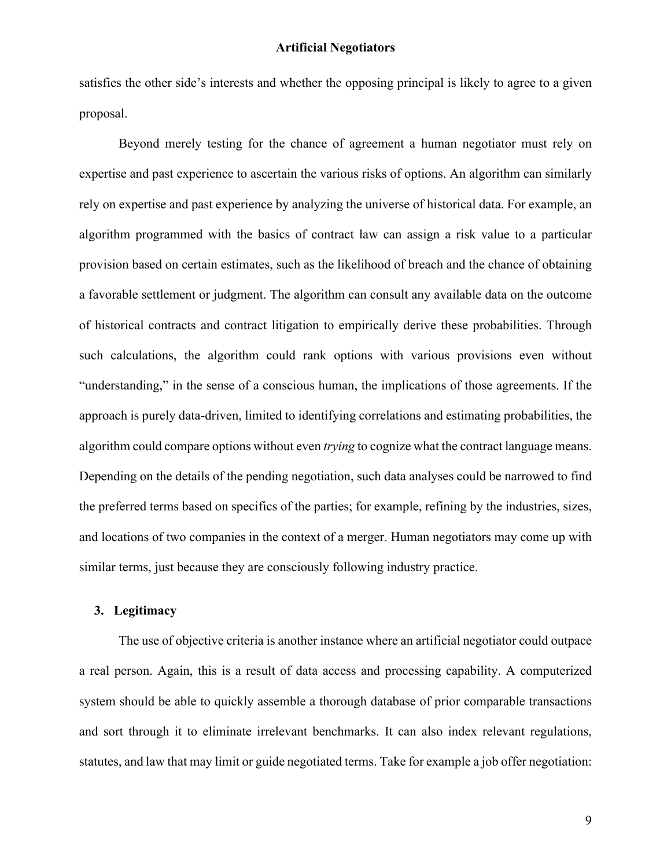satisfies the other side's interests and whether the opposing principal is likely to agree to a given proposal.

Beyond merely testing for the chance of agreement a human negotiator must rely on expertise and past experience to ascertain the various risks of options. An algorithm can similarly rely on expertise and past experience by analyzing the universe of historical data. For example, an algorithm programmed with the basics of contract law can assign a risk value to a particular provision based on certain estimates, such as the likelihood of breach and the chance of obtaining a favorable settlement or judgment. The algorithm can consult any available data on the outcome of historical contracts and contract litigation to empirically derive these probabilities. Through such calculations, the algorithm could rank options with various provisions even without "understanding," in the sense of a conscious human, the implications of those agreements. If the approach is purely data-driven, limited to identifying correlations and estimating probabilities, the algorithm could compare options without even *trying* to cognize what the contract language means. Depending on the details of the pending negotiation, such data analyses could be narrowed to find the preferred terms based on specifics of the parties; for example, refining by the industries, sizes, and locations of two companies in the context of a merger. Human negotiators may come up with similar terms, just because they are consciously following industry practice.

# **3. Legitimacy**

The use of objective criteria is another instance where an artificial negotiator could outpace a real person. Again, this is a result of data access and processing capability. A computerized system should be able to quickly assemble a thorough database of prior comparable transactions and sort through it to eliminate irrelevant benchmarks. It can also index relevant regulations, statutes, and law that may limit or guide negotiated terms. Take for example a job offer negotiation: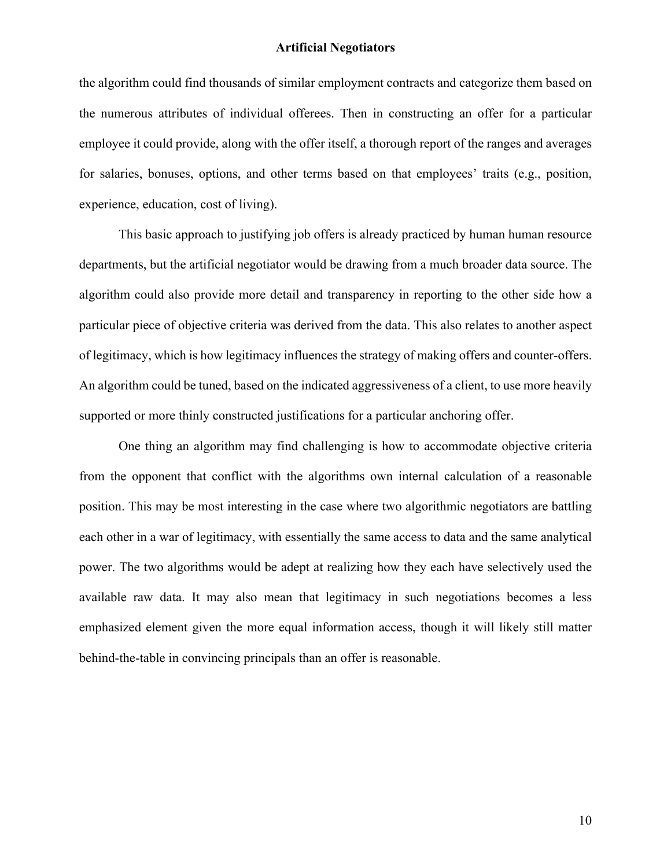the algorithm could find thousands of similar employment contracts and categorize them based on the numerous attributes of individual offerees. Then in constructing an offer for a particular employee it could provide, along with the offer itself, a thorough report of the ranges and averages for salaries, bonuses, options, and other terms based on that employees' traits (e.g., position, experience, education, cost of living).

This basic approach to justifying job offers is already practiced by human human resource departments, but the artificial negotiator would be drawing from a much broader data source. The algorithm could also provide more detail and transparency in reporting to the other side how a particular piece of objective criteria was derived from the data. This also relates to another aspect of legitimacy, which is how legitimacy influences the strategy of making offers and counter-offers. An algorithm could be tuned, based on the indicated aggressiveness of a client, to use more heavily supported or more thinly constructed justifications for a particular anchoring offer.

One thing an algorithm may find challenging is how to accommodate objective criteria from the opponent that conflict with the algorithms own internal calculation of a reasonable position. This may be most interesting in the case where two algorithmic negotiators are battling each other in a war of legitimacy, with essentially the same access to data and the same analytical power. The two algorithms would be adept at realizing how they each have selectively used the available raw data. It may also mean that legitimacy in such negotiations becomes a less emphasized element given the more equal information access, though it will likely still matter behind-the-table in convincing principals than an offer is reasonable.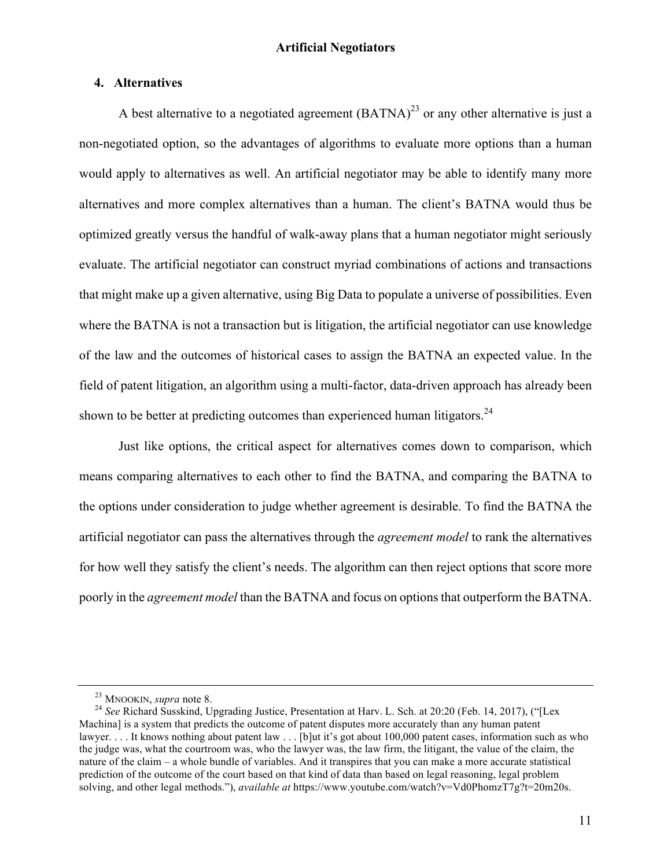## **4. Alternatives**

A best alternative to a negotiated agreement  $(BATNA)^{23}$  or any other alternative is just a non-negotiated option, so the advantages of algorithms to evaluate more options than a human would apply to alternatives as well. An artificial negotiator may be able to identify many more alternatives and more complex alternatives than a human. The client's BATNA would thus be optimized greatly versus the handful of walk-away plans that a human negotiator might seriously evaluate. The artificial negotiator can construct myriad combinations of actions and transactions that might make up a given alternative, using Big Data to populate a universe of possibilities. Even where the BATNA is not a transaction but is litigation, the artificial negotiator can use knowledge of the law and the outcomes of historical cases to assign the BATNA an expected value. In the field of patent litigation, an algorithm using a multi-factor, data-driven approach has already been shown to be better at predicting outcomes than experienced human litigators.<sup>24</sup>

Just like options, the critical aspect for alternatives comes down to comparison, which means comparing alternatives to each other to find the BATNA, and comparing the BATNA to the options under consideration to judge whether agreement is desirable. To find the BATNA the artificial negotiator can pass the alternatives through the *agreement model* to rank the alternatives for how well they satisfy the client's needs. The algorithm can then reject options that score more poorly in the *agreement model* than the BATNA and focus on options that outperform the BATNA.

<sup>&</sup>lt;sup>23</sup> MNOOKIN, *supra* note 8.<br><sup>24</sup> *See* Richard Susskind, Upgrading Justice, Presentation at Harv. L. Sch. at 20:20 (Feb. 14, 2017), ("[Lex Machina] is a system that predicts the outcome of patent disputes more accurately than any human patent lawyer. . . . It knows nothing about patent law . . . [b]ut it's got about 100,000 patent cases, information such as who the judge was, what the courtroom was, who the lawyer was, the law firm, the litigant, the value of the claim, the nature of the claim – a whole bundle of variables. And it transpires that you can make a more accurate statistical prediction of the outcome of the court based on that kind of data than based on legal reasoning, legal problem solving, and other legal methods."), *available at* https://www.youtube.com/watch?v=Vd0PhomzT7g?t=20m20s.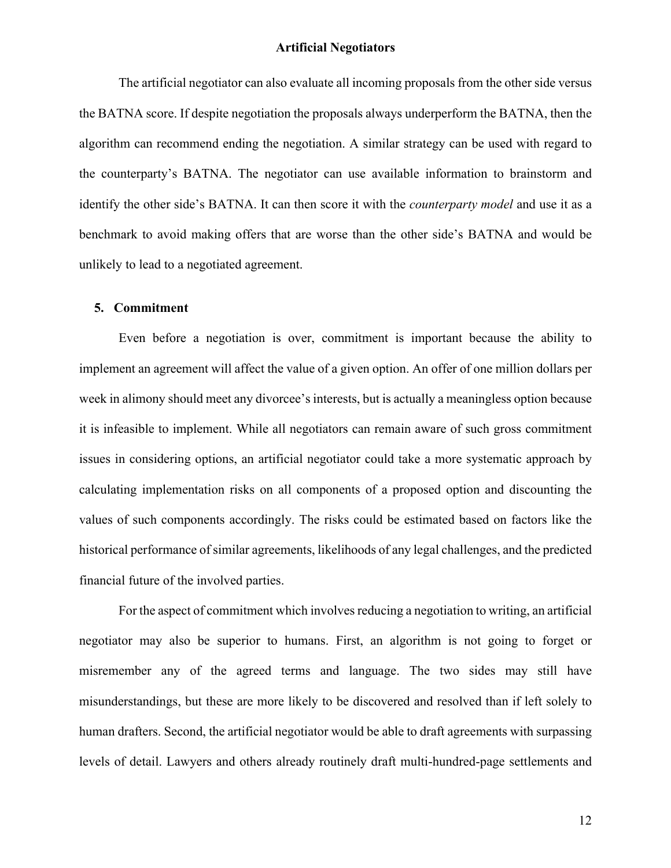The artificial negotiator can also evaluate all incoming proposals from the other side versus the BATNA score. If despite negotiation the proposals always underperform the BATNA, then the algorithm can recommend ending the negotiation. A similar strategy can be used with regard to the counterparty's BATNA. The negotiator can use available information to brainstorm and identify the other side's BATNA. It can then score it with the *counterparty model* and use it as a benchmark to avoid making offers that are worse than the other side's BATNA and would be unlikely to lead to a negotiated agreement.

# **5. Commitment**

Even before a negotiation is over, commitment is important because the ability to implement an agreement will affect the value of a given option. An offer of one million dollars per week in alimony should meet any divorcee's interests, but is actually a meaningless option because it is infeasible to implement. While all negotiators can remain aware of such gross commitment issues in considering options, an artificial negotiator could take a more systematic approach by calculating implementation risks on all components of a proposed option and discounting the values of such components accordingly. The risks could be estimated based on factors like the historical performance of similar agreements, likelihoods of any legal challenges, and the predicted financial future of the involved parties.

For the aspect of commitment which involves reducing a negotiation to writing, an artificial negotiator may also be superior to humans. First, an algorithm is not going to forget or misremember any of the agreed terms and language. The two sides may still have misunderstandings, but these are more likely to be discovered and resolved than if left solely to human drafters. Second, the artificial negotiator would be able to draft agreements with surpassing levels of detail. Lawyers and others already routinely draft multi-hundred-page settlements and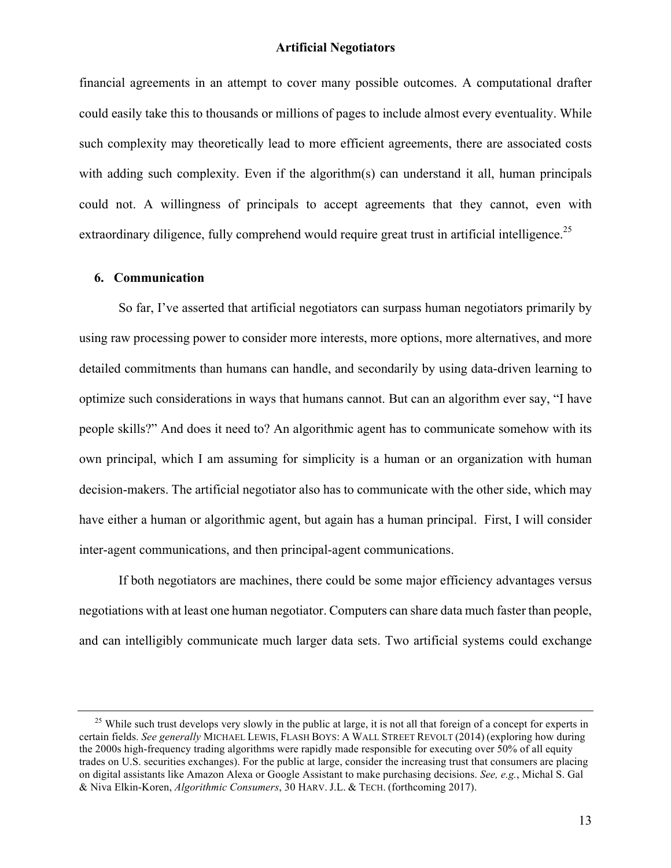financial agreements in an attempt to cover many possible outcomes. A computational drafter could easily take this to thousands or millions of pages to include almost every eventuality. While such complexity may theoretically lead to more efficient agreements, there are associated costs with adding such complexity. Even if the algorithm(s) can understand it all, human principals could not. A willingness of principals to accept agreements that they cannot, even with extraordinary diligence, fully comprehend would require great trust in artificial intelligence.<sup>25</sup>

## **6. Communication**

So far, I've asserted that artificial negotiators can surpass human negotiators primarily by using raw processing power to consider more interests, more options, more alternatives, and more detailed commitments than humans can handle, and secondarily by using data-driven learning to optimize such considerations in ways that humans cannot. But can an algorithm ever say, "I have people skills?" And does it need to? An algorithmic agent has to communicate somehow with its own principal, which I am assuming for simplicity is a human or an organization with human decision-makers. The artificial negotiator also has to communicate with the other side, which may have either a human or algorithmic agent, but again has a human principal. First, I will consider inter-agent communications, and then principal-agent communications.

If both negotiators are machines, there could be some major efficiency advantages versus negotiations with at least one human negotiator. Computers can share data much faster than people, and can intelligibly communicate much larger data sets. Two artificial systems could exchange

 $^{25}$  While such trust develops very slowly in the public at large, it is not all that foreign of a concept for experts in certain fields. *See generally* MICHAEL LEWIS, FLASH BOYS: A WALL STREET REVOLT (2014) (exploring how during the 2000s high-frequency trading algorithms were rapidly made responsible for executing over 50% of all equity trades on U.S. securities exchanges). For the public at large, consider the increasing trust that consumers are placing on digital assistants like Amazon Alexa or Google Assistant to make purchasing decisions. *See, e.g.*, Michal S. Gal & Niva Elkin-Koren, *Algorithmic Consumers*, 30 HARV. J.L. & TECH. (forthcoming 2017).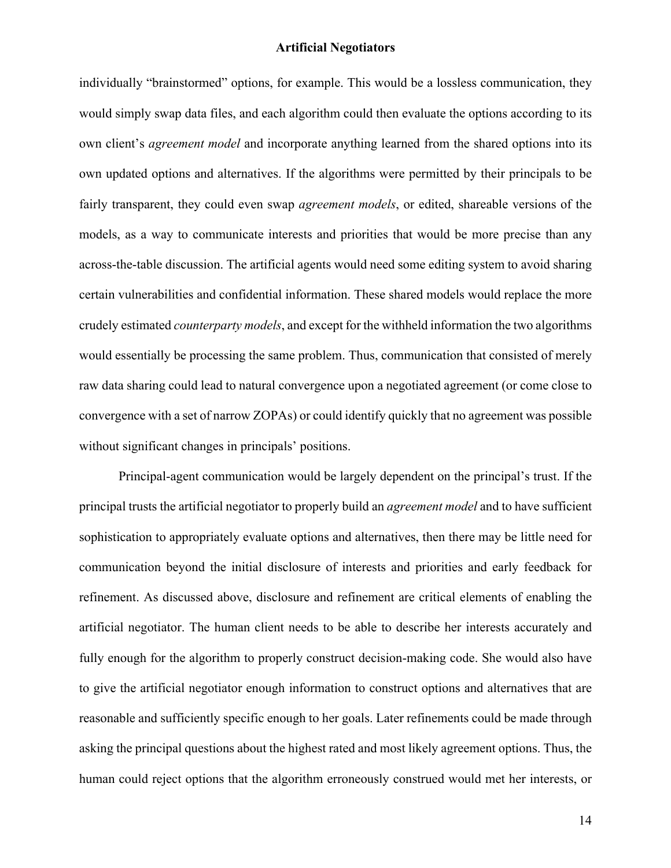individually "brainstormed" options, for example. This would be a lossless communication, they would simply swap data files, and each algorithm could then evaluate the options according to its own client's *agreement model* and incorporate anything learned from the shared options into its own updated options and alternatives. If the algorithms were permitted by their principals to be fairly transparent, they could even swap *agreement models*, or edited, shareable versions of the models, as a way to communicate interests and priorities that would be more precise than any across-the-table discussion. The artificial agents would need some editing system to avoid sharing certain vulnerabilities and confidential information. These shared models would replace the more crudely estimated *counterparty models*, and except for the withheld information the two algorithms would essentially be processing the same problem. Thus, communication that consisted of merely raw data sharing could lead to natural convergence upon a negotiated agreement (or come close to convergence with a set of narrow ZOPAs) or could identify quickly that no agreement was possible without significant changes in principals' positions.

Principal-agent communication would be largely dependent on the principal's trust. If the principal trusts the artificial negotiator to properly build an *agreement model* and to have sufficient sophistication to appropriately evaluate options and alternatives, then there may be little need for communication beyond the initial disclosure of interests and priorities and early feedback for refinement. As discussed above, disclosure and refinement are critical elements of enabling the artificial negotiator. The human client needs to be able to describe her interests accurately and fully enough for the algorithm to properly construct decision-making code. She would also have to give the artificial negotiator enough information to construct options and alternatives that are reasonable and sufficiently specific enough to her goals. Later refinements could be made through asking the principal questions about the highest rated and most likely agreement options. Thus, the human could reject options that the algorithm erroneously construed would met her interests, or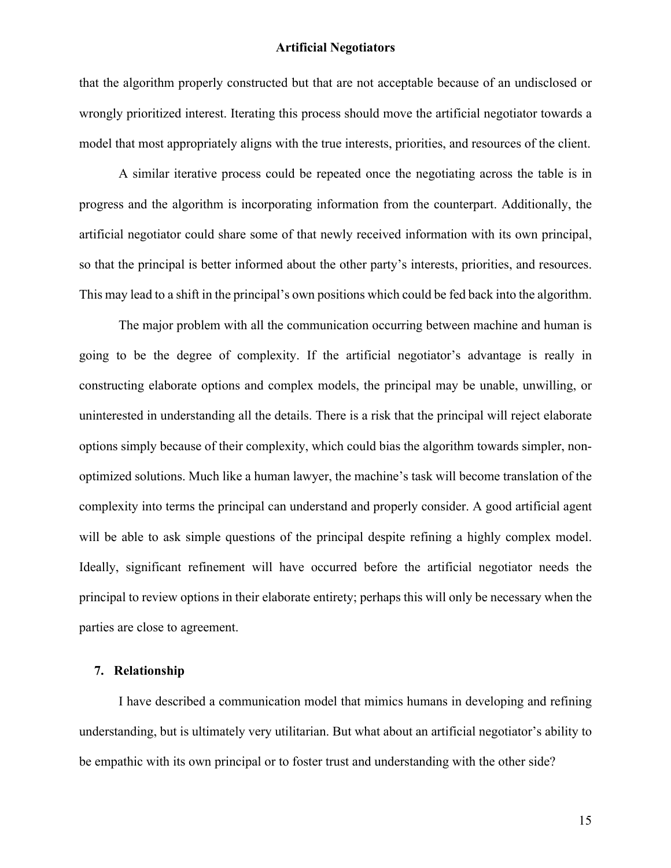that the algorithm properly constructed but that are not acceptable because of an undisclosed or wrongly prioritized interest. Iterating this process should move the artificial negotiator towards a model that most appropriately aligns with the true interests, priorities, and resources of the client.

A similar iterative process could be repeated once the negotiating across the table is in progress and the algorithm is incorporating information from the counterpart. Additionally, the artificial negotiator could share some of that newly received information with its own principal, so that the principal is better informed about the other party's interests, priorities, and resources. This may lead to a shift in the principal's own positions which could be fed back into the algorithm.

The major problem with all the communication occurring between machine and human is going to be the degree of complexity. If the artificial negotiator's advantage is really in constructing elaborate options and complex models, the principal may be unable, unwilling, or uninterested in understanding all the details. There is a risk that the principal will reject elaborate options simply because of their complexity, which could bias the algorithm towards simpler, nonoptimized solutions. Much like a human lawyer, the machine's task will become translation of the complexity into terms the principal can understand and properly consider. A good artificial agent will be able to ask simple questions of the principal despite refining a highly complex model. Ideally, significant refinement will have occurred before the artificial negotiator needs the principal to review options in their elaborate entirety; perhaps this will only be necessary when the parties are close to agreement.

#### **7. Relationship**

I have described a communication model that mimics humans in developing and refining understanding, but is ultimately very utilitarian. But what about an artificial negotiator's ability to be empathic with its own principal or to foster trust and understanding with the other side?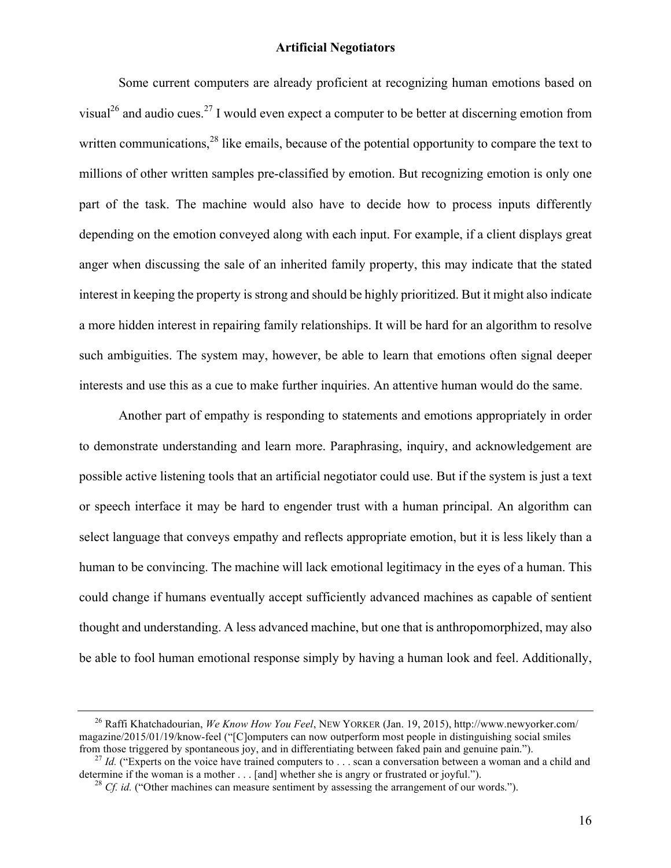Some current computers are already proficient at recognizing human emotions based on visual<sup>26</sup> and audio cues.<sup>27</sup> I would even expect a computer to be better at discerning emotion from written communications,  $28$  like emails, because of the potential opportunity to compare the text to millions of other written samples pre-classified by emotion. But recognizing emotion is only one part of the task. The machine would also have to decide how to process inputs differently depending on the emotion conveyed along with each input. For example, if a client displays great anger when discussing the sale of an inherited family property, this may indicate that the stated interest in keeping the property is strong and should be highly prioritized. But it might also indicate a more hidden interest in repairing family relationships. It will be hard for an algorithm to resolve such ambiguities. The system may, however, be able to learn that emotions often signal deeper interests and use this as a cue to make further inquiries. An attentive human would do the same.

Another part of empathy is responding to statements and emotions appropriately in order to demonstrate understanding and learn more. Paraphrasing, inquiry, and acknowledgement are possible active listening tools that an artificial negotiator could use. But if the system is just a text or speech interface it may be hard to engender trust with a human principal. An algorithm can select language that conveys empathy and reflects appropriate emotion, but it is less likely than a human to be convincing. The machine will lack emotional legitimacy in the eyes of a human. This could change if humans eventually accept sufficiently advanced machines as capable of sentient thought and understanding. A less advanced machine, but one that is anthropomorphized, may also be able to fool human emotional response simply by having a human look and feel. Additionally,

<sup>26</sup> Raffi Khatchadourian, *We Know How You Feel*, NEW YORKER (Jan. 19, 2015), http://www.newyorker.com/ magazine/2015/01/19/know-feel ("[C]omputers can now outperform most people in distinguishing social smiles from those triggered by spontaneous jov. and in differentiating between faked pain and genuine pain.").

<sup>&</sup>lt;sup>27</sup> *Id.* ("Experts on the voice have trained computers to . . . scan a conversation between a woman and a child and determine if the woman is a mother . . . [and] whether she is angry or frustrated or joyful.").<br><sup>28</sup> *Cf. id.* ("Other machines can measure sentiment by assessing the arrangement of our words.").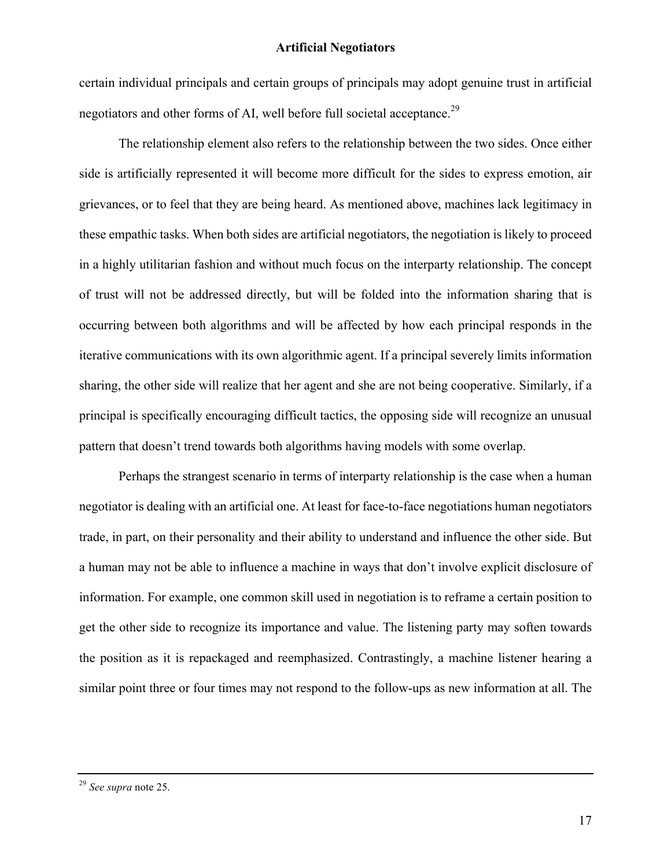certain individual principals and certain groups of principals may adopt genuine trust in artificial negotiators and other forms of AI, well before full societal acceptance.<sup>29</sup>

The relationship element also refers to the relationship between the two sides. Once either side is artificially represented it will become more difficult for the sides to express emotion, air grievances, or to feel that they are being heard. As mentioned above, machines lack legitimacy in these empathic tasks. When both sides are artificial negotiators, the negotiation is likely to proceed in a highly utilitarian fashion and without much focus on the interparty relationship. The concept of trust will not be addressed directly, but will be folded into the information sharing that is occurring between both algorithms and will be affected by how each principal responds in the iterative communications with its own algorithmic agent. If a principal severely limits information sharing, the other side will realize that her agent and she are not being cooperative. Similarly, if a principal is specifically encouraging difficult tactics, the opposing side will recognize an unusual pattern that doesn't trend towards both algorithms having models with some overlap.

Perhaps the strangest scenario in terms of interparty relationship is the case when a human negotiator is dealing with an artificial one. At least for face-to-face negotiations human negotiators trade, in part, on their personality and their ability to understand and influence the other side. But a human may not be able to influence a machine in ways that don't involve explicit disclosure of information. For example, one common skill used in negotiation is to reframe a certain position to get the other side to recognize its importance and value. The listening party may soften towards the position as it is repackaged and reemphasized. Contrastingly, a machine listener hearing a similar point three or four times may not respond to the follow-ups as new information at all. The

<sup>29</sup> *See supra* note 25.